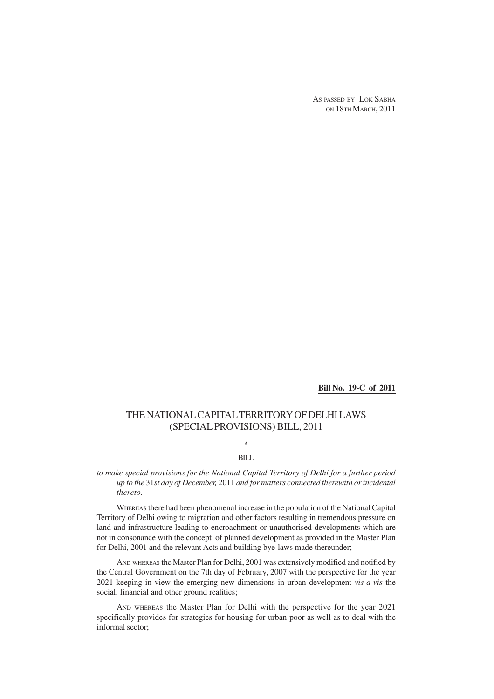AS PASSED BY LOK SABHA ON 18TH MARCH, 2011

**Bill No. 19-C of 2011**

## THE NATIONAL CAPITAL TERRITORY OF DELHI LAWS (SPECIAL PROVISIONS) BILL, 2011

A

## BILL

*to make special provisions for the National Capital Territory of Delhi for a further period up to the* 31*st day of December,* 2011 *and for matters connected therewith or incidental thereto.*

WHEREAS there had been phenomenal increase in the population of the National Capital Territory of Delhi owing to migration and other factors resulting in tremendous pressure on land and infrastructure leading to encroachment or unauthorised developments which are not in consonance with the concept of planned development as provided in the Master Plan for Delhi, 2001 and the relevant Acts and building bye-laws made thereunder;

AND WHEREAS the Master Plan for Delhi, 2001 was extensively modified and notified by the Central Government on the 7th day of February, 2007 with the perspective for the year 2021 keeping in view the emerging new dimensions in urban development *vis-a-vis* the social, financial and other ground realities;

AND WHEREAS the Master Plan for Delhi with the perspective for the year 2021 specifically provides for strategies for housing for urban poor as well as to deal with the informal sector;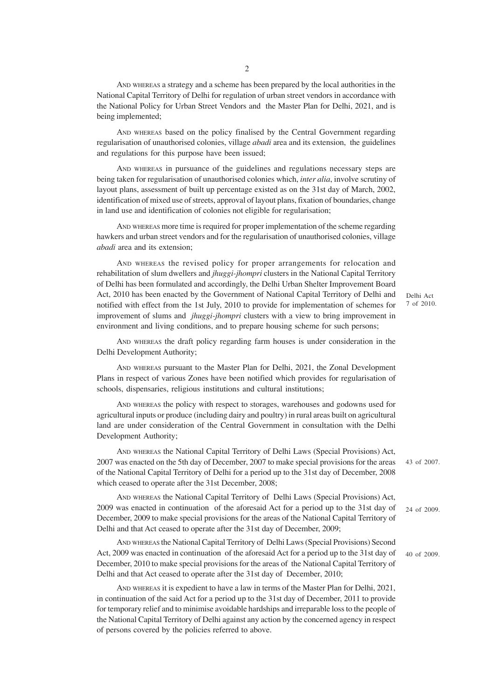AND WHEREAS a strategy and a scheme has been prepared by the local authorities in the National Capital Territory of Delhi for regulation of urban street vendors in accordance with the National Policy for Urban Street Vendors and the Master Plan for Delhi, 2021, and is being implemented;

AND WHEREAS based on the policy finalised by the Central Government regarding regularisation of unauthorised colonies, village *abadi* area and its extension, the guidelines and regulations for this purpose have been issued;

AND WHEREAS in pursuance of the guidelines and regulations necessary steps are being taken for regularisation of unauthorised colonies which, *inter alia*, involve scrutiny of layout plans, assessment of built up percentage existed as on the 31st day of March, 2002, identification of mixed use of streets, approval of layout plans, fixation of boundaries, change in land use and identification of colonies not eligible for regularisation;

AND WHEREAS more time is required for proper implementation of the scheme regarding hawkers and urban street vendors and for the regularisation of unauthorised colonies, village *abadi* area and its extension;

AND WHEREAS the revised policy for proper arrangements for relocation and rehabilitation of slum dwellers and *jhuggi-jhompri* clusters in the National Capital Territory of Delhi has been formulated and accordingly, the Delhi Urban Shelter Improvement Board Act, 2010 has been enacted by the Government of National Capital Territory of Delhi and notified with effect from the 1st July, 2010 to provide for implementation of schemes for improvement of slums and *jhuggi-jhompri* clusters with a view to bring improvement in environment and living conditions, and to prepare housing scheme for such persons;

Delhi Act 7 of 2010.

AND WHEREAS the draft policy regarding farm houses is under consideration in the Delhi Development Authority;

AND WHEREAS pursuant to the Master Plan for Delhi, 2021, the Zonal Development Plans in respect of various Zones have been notified which provides for regularisation of schools, dispensaries, religious institutions and cultural institutions;

AND WHEREAS the policy with respect to storages, warehouses and godowns used for agricultural inputs or produce (including dairy and poultry) in rural areas built on agricultural land are under consideration of the Central Government in consultation with the Delhi Development Authority;

AND WHEREAS the National Capital Territory of Delhi Laws (Special Provisions) Act, 2007 was enacted on the 5th day of December, 2007 to make special provisions for the areas of the National Capital Territory of Delhi for a period up to the 31st day of December, 2008 which ceased to operate after the 31st December, 2008;

AND WHEREAS the National Capital Territory of Delhi Laws (Special Provisions) Act, 2009 was enacted in continuation of the aforesaid Act for a period up to the 31st day of December, 2009 to make special provisions for the areas of the National Capital Territory of Delhi and that Act ceased to operate after the 31st day of December, 2009;

AND WHEREAS the National Capital Territory of Delhi Laws (Special Provisions) Second Act, 2009 was enacted in continuation of the aforesaid Act for a period up to the 31st day of December, 2010 to make special provisions for the areas of the National Capital Territory of Delhi and that Act ceased to operate after the 31st day of December, 2010;

AND WHEREAS it is expedient to have a law in terms of the Master Plan for Delhi, 2021, in continuation of the said Act for a period up to the 31st day of December, 2011 to provide for temporary relief and to minimise avoidable hardships and irreparable loss to the people of the National Capital Territory of Delhi against any action by the concerned agency in respect of persons covered by the policies referred to above.

43 of 2007.

24 of 2009.

40 of 2009.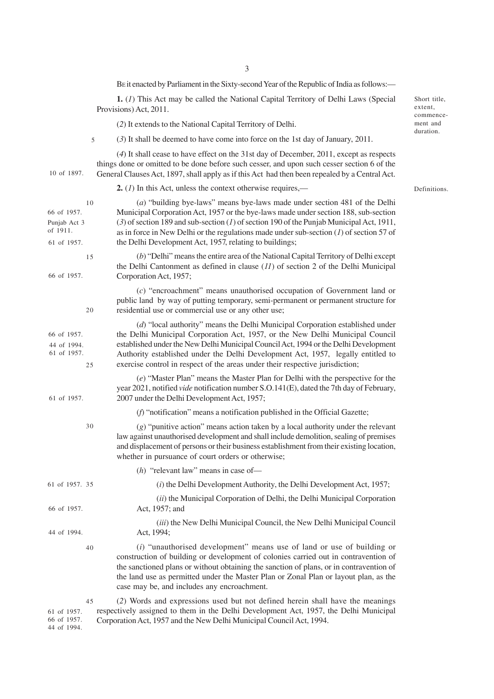BE it enacted by Parliament in the Sixty-second Year of the Republic of India as follows:—

**1.** (*1*) This Act may be called the National Capital Territory of Delhi Laws (Special Provisions) Act, 2011.

(*2*) It extends to the National Capital Territory of Delhi.

(*3*) It shall be deemed to have come into force on the 1st day of January, 2011. 5

(*4*) It shall cease to have effect on the 31st day of December, 2011, except as respects things done or omitted to be done before such cesser, and upon such cesser section 6 of the General Clauses Act, 1897, shall apply as if this Act had then been repealed by a Central Act. 10 of 1897.

**2.** (*1*) In this Act, unless the context otherwise requires,—

(*a*) "building bye-laws" means bye-laws made under section 481 of the Delhi Municipal Corporation Act, 1957 or the bye-laws made under section 188, sub-section (*3*) of section 189 and sub-section (*1*) of section 190 of the Punjab Municipal Act, 1911, as in force in New Delhi or the regulations made under sub-section (*1*) of section 57 of the Delhi Development Act, 1957, relating to buildings; (*b*) "Delhi" means the entire area of the National Capital Territory of Delhi except the Delhi Cantonment as defined in clause (*11*) of section 2 of the Delhi Municipal Corporation Act, 1957; (*c*) "encroachment" means unauthorised occupation of Government land or public land by way of putting temporary, semi-permanent or permanent structure for residential use or commercial use or any other use; (*d*) "local authority" means the Delhi Municipal Corporation established under the Delhi Municipal Corporation Act, 1957, or the New Delhi Municipal Council established under the New Delhi Municipal Council Act, 1994 or the Delhi Development Authority established under the Delhi Development Act, 1957, legally entitled to exercise control in respect of the areas under their respective jurisdiction; (*e*) "Master Plan" means the Master Plan for Delhi with the perspective for the year 2021, notified *vide* notification number S.O.141(E), dated the 7th day of February, 2007 under the Delhi Development Act, 1957; (*f*) "notification" means a notification published in the Official Gazette; (*g*) "punitive action" means action taken by a local authority under the relevant law against unauthorised development and shall include demolition, sealing of premises and displacement of persons or their business establishment from their existing location, whether in pursuance of court orders or otherwise; (*h*)"relevant law" means in case of— (*i*) the Delhi Development Authority, the Delhi Development Act, 1957; (*ii*) the Municipal Corporation of Delhi, the Delhi Municipal Corporation Act, 1957; and (*iii*) the New Delhi Municipal Council, the New Delhi Municipal Council Act, 1994; (*i*) "unauthorised development" means use of land or use of building or construction of building or development of colonies carried out in contravention of the sanctioned plans or without obtaining the sanction of plans, or in contravention of the land use as permitted under the Master Plan or Zonal Plan or layout plan, as the case may be, and includes any encroachment. (*2*) Words and expressions used but not defined herein shall have the meanings 66 of 1957. Punjab Act 3 of 1911. 61 of 1957. 66 of 1957. 66 of 1957. 44 of 1994. 61 of 1957. 61 of 1957. 61 of 1957. 35 66 of 1957. 44 of 1994. 61 of 1957. 10 15 20  $25$ 30 40 45

Short title, extent, commencement and duration.

Definitions.

respectively assigned to them in the Delhi Development Act, 1957, the Delhi Municipal Corporation Act, 1957 and the New Delhi Municipal Council Act, 1994.

66 of 1957. 44 of 1994.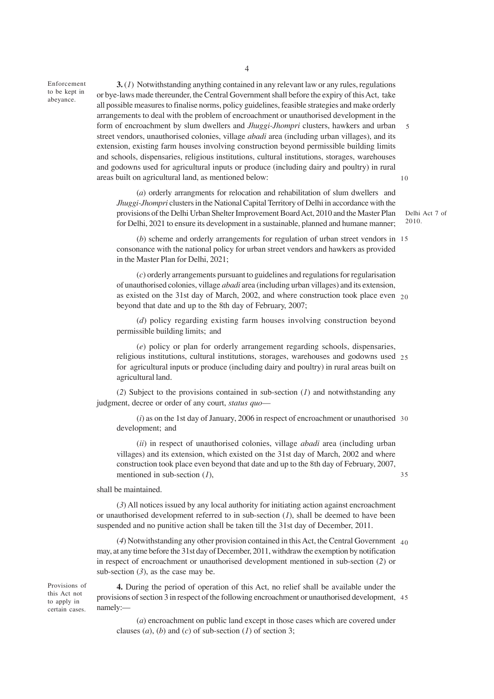Enforcement to be kept in abeyance.

**3.** (*1*) Notwithstanding anything contained in any relevant law or any rules, regulations or bye-laws made thereunder, the Central Government shall before the expiry of this Act, take all possible measures to finalise norms, policy guidelines, feasible strategies and make orderly arrangements to deal with the problem of encroachment or unauthorised development in the form of encroachment by slum dwellers and *Jhuggi-Jhompri* clusters, hawkers and urban street vendors, unauthorised colonies, village *abadi* area (including urban villages), and its extension, existing farm houses involving construction beyond permissible building limits and schools, dispensaries, religious institutions, cultural institutions, storages, warehouses and godowns used for agricultural inputs or produce (including dairy and poultry) in rural areas built on agricultural land, as mentioned below: 10

(*a*) orderly arrangments for relocation and rehabilitation of slum dwellers and *Jhuggi-Jhompri* clusters in the National Capital Territory of Delhi in accordance with the provisions of the Delhi Urban Shelter Improvement Board Act, 2010 and the Master Plan for Delhi, 2021 to ensure its development in a sustainable, planned and humane manner;

Delhi Act 7 of 2010.

5

35

(*b*) scheme and orderly arrangements for regulation of urban street vendors in 15 consonance with the national policy for urban street vendors and hawkers as provided in the Master Plan for Delhi, 2021;

(*c*) orderly arrangements pursuant to guidelines and regulations for regularisation of unauthorised colonies, village *abadi* area (including urban villages) and its extension, as existed on the 31st day of March, 2002, and where construction took place even 20 beyond that date and up to the 8th day of February, 2007;

(*d*) policy regarding existing farm houses involving construction beyond permissible building limits; and

(*e*) policy or plan for orderly arrangement regarding schools, dispensaries, religious institutions, cultural institutions, storages, warehouses and godowns used 25 for agricultural inputs or produce (including dairy and poultry) in rural areas built on agricultural land.

(*2*) Subject to the provisions contained in sub-section (*1*) and notwithstanding any judgment, decree or order of any court, *status quo*—

(*i*) as on the 1st day of January, 2006 in respect of encroachment or unauthorised 30 development; and

(*ii*) in respect of unauthorised colonies, village *abadi* area (including urban villages) and its extension, which existed on the 31st day of March, 2002 and where construction took place even beyond that date and up to the 8th day of February, 2007, mentioned in sub-section (*1*),

shall be maintained.

(*3*) All notices issued by any local authority for initiating action against encroachment or unauthorised development referred to in sub-section (*1*), shall be deemed to have been suspended and no punitive action shall be taken till the 31st day of December, 2011.

(*4*) Notwithstanding any other provision contained in this Act, the Central Government 40 may, at any time before the 31st day of December, 2011, withdraw the exemption by notification in respect of encroachment or unauthorised development mentioned in sub-section (*2*) or sub-section  $(3)$ , as the case may be.

Provisions of this Act not to apply in certain cases.

**4.** During the period of operation of this Act, no relief shall be available under the provisions of section 3 in respect of the following encroachment or unauthorised development, 45namely:—

(*a*) encroachment on public land except in those cases which are covered under clauses  $(a)$ ,  $(b)$  and  $(c)$  of sub-section  $(1)$  of section 3;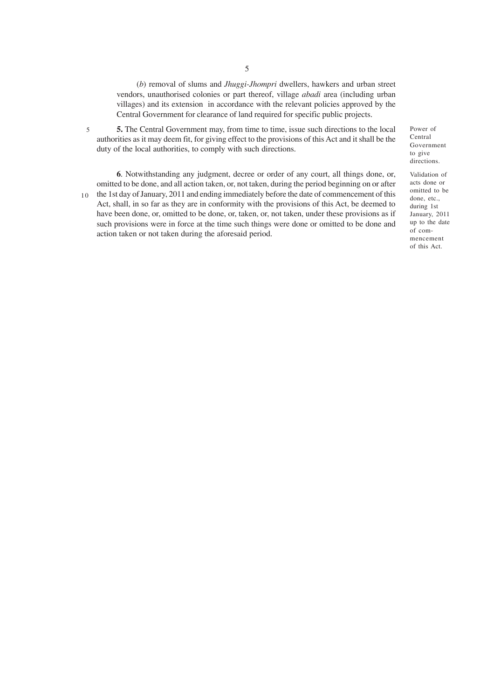(*b*) removal of slums and *Jhuggi-Jhompri* dwellers, hawkers and urban street vendors, unauthorised colonies or part thereof, village *abadi* area (including urban villages) and its extension in accordance with the relevant policies approved by the Central Government for clearance of land required for specific public projects.

**5.** The Central Government may, from time to time, issue such directions to the local authorities as it may deem fit, for giving effect to the provisions of this Act and it shall be the duty of the local authorities, to comply with such directions.

5

10

**6**. Notwithstanding any judgment, decree or order of any court, all things done, or, omitted to be done, and all action taken, or, not taken, during the period beginning on or after the 1st day of January, 2011 and ending immediately before the date of commencement of this Act, shall, in so far as they are in conformity with the provisions of this Act, be deemed to have been done, or, omitted to be done, or, taken, or, not taken, under these provisions as if such provisions were in force at the time such things were done or omitted to be done and action taken or not taken during the aforesaid period.

Power of Central Government to give directions.

Validation of acts done or omitted to be done, etc., during 1st January, 2011 up to the date of commencement of this Act.